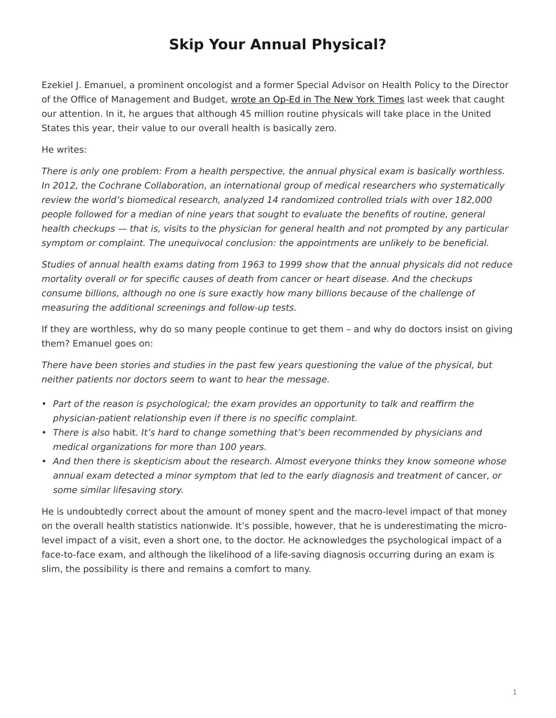## **Skip Your Annual Physical?**

<span id="page-0-0"></span>Ezekiel J. Emanuel, a prominent oncologist and a former Special Advisor on Health Policy to the Director of the Office of Management and Budget, [wrote an Op-Ed in The New York Times](http://www.nytimes.com/2015/01/09/opinion/skip-your-annual-physical.html?_r=0) last week that caught our attention. In it, he argues that although 45 million routine physicals will take place in the United States this year, their value to our overall health is basically zero.

He writes:

There is only one problem: From a health perspective, the annual physical exam is basically worthless. In 2012, the Cochrane Collaboration, an international group of medical researchers who systematically review the world's biomedical research, analyzed 14 randomized controlled trials with over 182,000 people followed for a median of nine years that sought to evaluate the benefits of routine, general health checkups — that is, visits to the physician for general health and not prompted by any particular symptom or complaint. The unequivocal conclusion: the appointments are unlikely to be beneficial.

Studies of annual health exams dating from 1963 to 1999 show that the annual physicals did not reduce mortality overall or for specific causes of death from cancer or heart disease. And the checkups consume billions, although no one is sure exactly how many billions because of the challenge of measuring the additional screenings and follow-up tests.

If they are worthless, why do so many people continue to get them – and why do doctors insist on giving them? Emanuel goes on:

There have been stories and studies in the past few years questioning the value of the physical, but neither patients nor doctors seem to want to hear the message.

- Part of the reason is psychological; the exam provides an opportunity to talk and reaffirm the physician-patient relationship even if there is no specific complaint.
- There is also habit. It's hard to change something that's been recommended by physicians and medical organizations for more than 100 years.
- And then there is skepticism about the research. Almost everyone thinks they know someone whose annual exam detected a minor symptom that led to the early diagnosis and treatment of cancer, or some similar lifesaving story.

He is undoubtedly correct about the amount of money spent and the macro-level impact of that money on the overall health statistics nationwide. It's possible, however, that he is underestimating the microlevel impact of a visit, even a short one, to the doctor. He acknowledges the psychological impact of a face-to-face exam, and although the likelihood of a life-saving diagnosis occurring during an exam is slim, the possibility is there and remains a comfort to many.